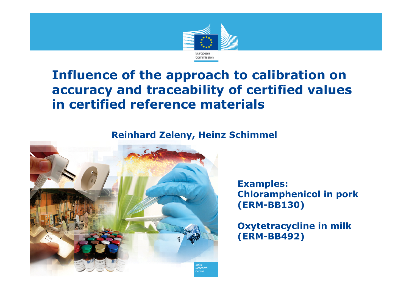

# **Influence of the approach to calibration on accuracy and traceability of certified values in certified reference materials**

# **Reinhard Zeleny, Heinz Schimmel**



**Examples: Chloramphenicol in pork (ERM-BB130)**

**Oxytetracycline in milk (ERM-BB492)**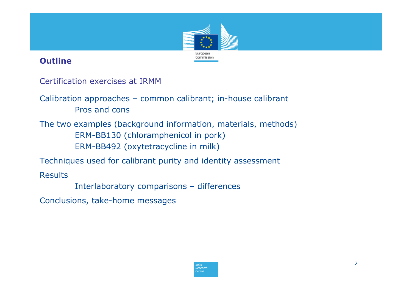

# **Outline**

Certification exercises at IRMM

Calibration approaches – common calibrant; in-house calibrant Pros and cons

The two examples (background information, materials, methods) ERM-BB130 (chloramphenicol in pork) ERM-BB492 (oxytetracycline in milk)

Techniques used for calibrant purity and identity assessment

Results

Interlaboratory comparisons – differences

Conclusions, take-home messages

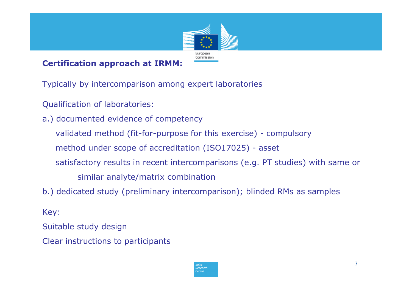

# **Certification approach at IRMM:**

Typically by intercomparison among expert laboratories

Qualification of laboratories:

a.) documented evidence of competency

validated method (fit-for-purpose for this exercise) - compulsory

method under scope of accreditation (ISO17025) - asset

satisfactory results in recent intercomparisons (e.g. PT studies) with same or

similar analyte/matrix combination

b.) dedicated study (preliminary intercomparison); blinded RMs as samples

Key:

Suitable study design

Clear instructions to participants

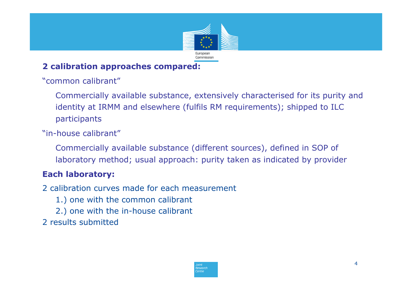

# **2 calibration approaches compared:**

"common calibrant"

Commercially available substance, extensively characterised for its purity and identity at IRMM and elsewhere (fulfils RM requirements); shipped to ILC participants

"in-house calibrant"

Commercially available substance (different sources), defined in SOP of laboratory method; usual approach: purity taken as indicated by provider

# **Each laboratory:**

2 calibration curves made for each measurement

- 1.) one with the common calibrant
- 2.) one with the in-house calibrant
- 2 results submitted

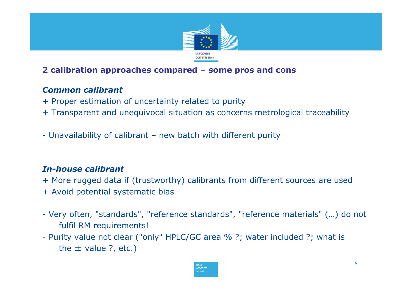

# **2 calibration approaches compared – some pros and cons**

# *Common calibrant*

- + Proper estimation of uncertainty related to purity
- + Transparent and unequivocal situation as concerns metrological traceability
- Unavailability of calibrant new batch with different purity

## *In-house calibrant*

- + More rugged data if (trustworthy) calibrants from different sources are used
- + Avoid potential systematic bias
- Very often, "standards", "reference standards", "reference materials" (…) do not fulfil RM requirements!
- Purity value not clear ("only" HPLC/GC area % ?; water included ?; what is the ± value ?, etc.)

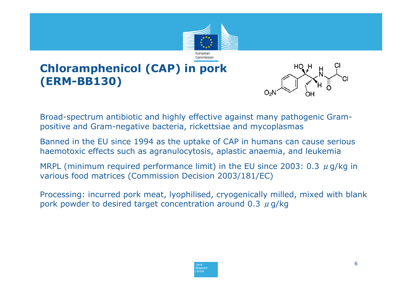

Broad-spectrum antibiotic and highly effective against many pathogenic Grampositive and Gram-negative bacteria, rickettsiae and mycoplasmas

Banned in the EU since 1994 as the uptake of CAP in humans can cause serious haemotoxic effects such as agranulocytosis, aplastic anaemia, and leukemia

MRPL (minimum required performance limit) in the EU since 2003: 0.3  $\mu$  g/kg in various food matrices (Commission Decision 2003/181/EC)

Processing: incurred pork meat, lyophilised, cryogenically milled, mixed with blank pork powder to desired target concentration around 0.3  $\mu$  g/kg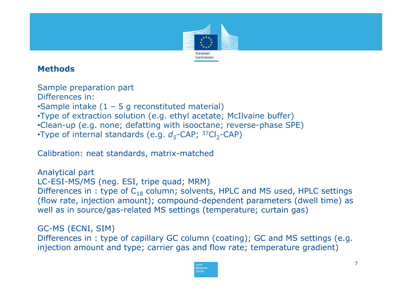

# **Methods**

Sample preparation part Differences in:•Sample intake  $(1 - 5$  g reconstituted material) •Type of extraction solution (e.g. ethyl acetate; McIlvaine buffer) •Clean-up (e.g. none; defatting with isooctane; reverse-phase SPE) •Type of internal standards (e.g.  $d_5$ -CAP; <sup>37</sup>Cl<sub>2</sub>-CAP)

Calibration: neat standards, matrix-matched

Analytical part LC-ESI-MS/MS (neg. ESI, tripe quad; MRM) Differences in : type of  $\mathsf{C}_{18}$  column; solvents, HPLC and MS used, HPLC settings (flow rate, injection amount); compound-dependent parameters (dwell time) as well as in source/gas-related MS settings (temperature; curtain gas)

GC-MS (ECNI, SIM)

Differences in : type of capillary GC column (coating); GC and MS settings (e.g. injection amount and type; carrier gas and flow rate; temperature gradient)

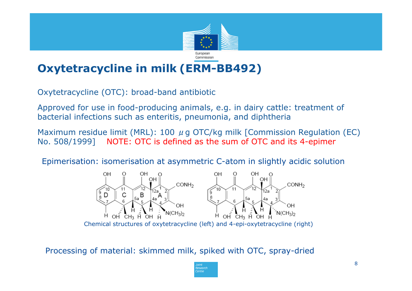

# **Oxytetracycline in milk (ERM-BB492)**

Oxytetracycline (OTC): broad-band antibiotic

Approved for use in food-producing animals, e.g. in dairy cattle: treatment of bacterial infections such as enteritis, pneumonia, and diphtheria

Maximum residue limit (MRL): 100  $\mu$  g OTC/kg milk [Commission Regulation (EC) No. 508/1999] NOTE: OTC is defined as the sum of OTC and its 4-epimer

Epimerisation: isomerisation at asymmetric C-atom in slightly acidic solution



Processing of material: skimmed milk, spiked with OTC, spray-dried

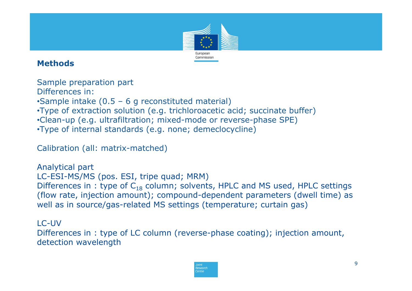

# **Methods**

Sample preparation part Differences in:•Sample intake (0.5 – 6 g reconstituted material) •Type of extraction solution (e.g. trichloroacetic acid; succinate buffer) •Clean-up (e.g. ultrafiltration; mixed-mode or reverse-phase SPE) •Type of internal standards (e.g. none; demeclocycline)

Calibration (all: matrix-matched)

Analytical part LC-ESI-MS/MS (pos. ESI, tripe quad; MRM) Differences in : type of  $C_{18}$  column; solvents, HPLC and MS used, HPLC settings (flow rate, injection amount); compound-dependent parameters (dwell time) as well as in source/gas-related MS settings (temperature; curtain gas)

LC-UVDifferences in : type of LC column (reverse-phase coating); injection amount, detection wavelength

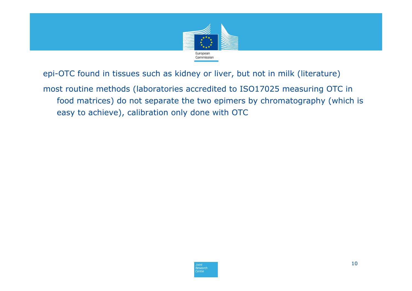

epi-OTC found in tissues such as kidney or liver, but not in milk (literature)

most routine methods (laboratories accredited to ISO17025 measuring OTC in food matrices) do not separate the two epimers by chromatography (which is easy to achieve), calibration only done with OTC

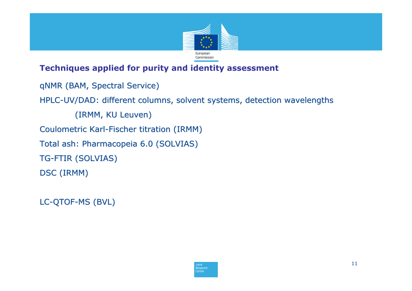

# **Techniques applied for purity and identity assessment**

qNMR (BAM, Spectral Service) qNMR (BAM, Spectral Service) HPLC-UV/DAD: different columns, solvent systems, detection wavelengths (IRMM, KU Leuven) Coulometric Karl-Fischer titration (IRMM) Total ash: Pharmacopeia 6.0 (SOLVIAS) **TG-FTIR (SOLVIAS)** DSC (IRMM)

LC-QTOF-MS (BVL)

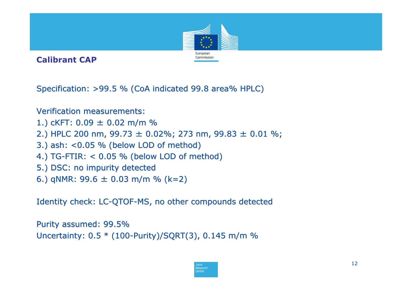

**Calibrant CAP**

Specification: >99.5 % (CoA indicated 99.8 area% HPLC)

Verification measurements:

- 1.) cKFT:  $0.09 \pm 0.02$  m/m %
- 2.) HPLC 200 nm, 99.73  $\pm$  0.02%; 273 nm, 99.83  $\pm$  0.01 %;
- 3.) ash: <0.05 % (below LOD of method) 3.) ash: <0.05 % (below LOD of method)
- 4.) TG-FTIR:  $< 0.05$  % (below LOD of method)
- 5.) DSC: no impurity detected 5.) DSC: no impurity detected
- 6.)  $qNMR: 99.6 \pm 0.03$  m/m % (k=2)

Identity check: LC-QTOF-MS, no other compounds detected

```
Purity assumed: 99.5%
Uncertainty: 0.5 * (100-Purity)/SQRT(3), 0.145 m/m %
```
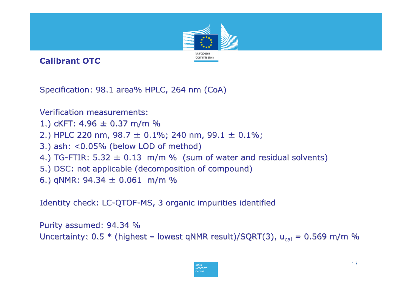

**Calibrant OTC**

Specification: 98.1 area% HPLC, 264 nm (CoA)

**Verification measurements:** 

- 1.) cKFT: 4.96  $\pm$  0.37 m/m %
- 2.) HPLC 220 nm,  $98.7 \pm 0.1\%$ ; 240 nm,  $99.1 \pm 0.1\%$ ;
- 3.) ash: <0.05% (below LOD of method) 3.) ash: <0.05% (below LOD of method)
- 4.) TG-FTIR:  $5.32 \pm 0.13$  m/m % (sum of water and residual solvents)
- 5.) DSC: not applicable (decomposition of compound) 5.) DSC: not applicable (decomposition of compound)
- 6.)  $qNMR: 94.34 \pm 0.061$  m/m %

Identity check: LC-QTOF-MS, 3 organic impurities identified

Purity assumed: 94.34 % Uncertainty: 0.5 \* (highest – lowest qNMR result)/SQRT(3), u<sub>cal</sub> = 0.569 m/m %

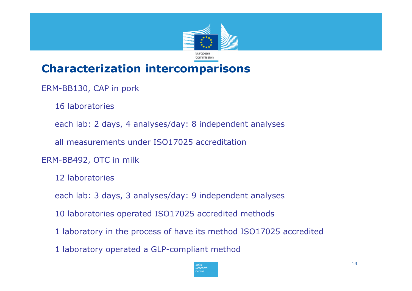

# **Characterization intercomparisons**

- ERM-BB130, CAP in pork
	- 16 laboratories
	- each lab: 2 days, 4 analyses/day: 8 independent analyses
	- all measurements under ISO17025 accreditation
- ERM-BB492, OTC in milk
	- 12 laboratories
	- each lab: 3 days, 3 analyses/day: 9 independent analyses
	- 10 laboratories operated ISO17025 accredited methods
	- 1 laboratory in the process of have its method ISO17025 accredited
	- 1 laboratory operated a GLP-compliant method

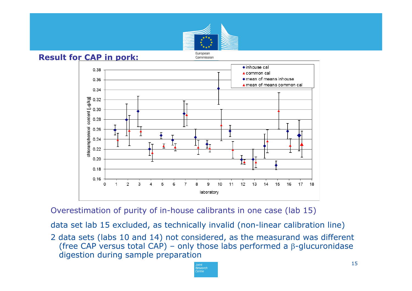

#### **Result for CAP in pork:**



Overestimation of purity of in-house calibrants in one case (lab 15)

data set lab 15 excluded, as technically invalid (non-linear calibration line)

2 data sets (labs 10 and 14) not considered, as the measurand was different (free CAP versus total CAP) – only those labs performed a  $\beta$ -glucuronidase digestion during sample preparation

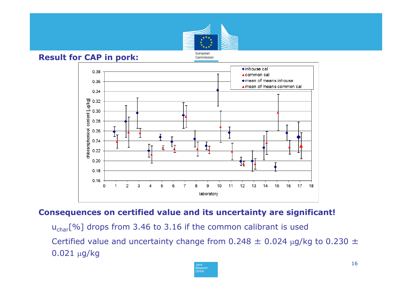

#### **Result for CAP in pork:**



# **Consequences on certified value and its uncertainty are significant!**

- u<sub>char</sub>[%] drops from 3.46 to 3.16 if the common calibrant is used
- Certified value and uncertainty change from 0.248  $\pm$  0.024  $\mu$ g/kg to 0.230  $\pm$ 0.021 μg/kg

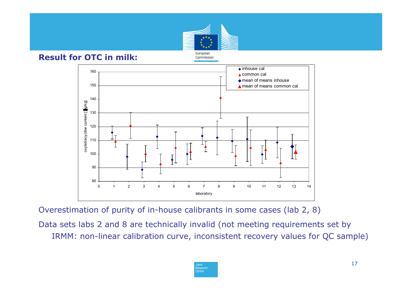

#### **Result for OTC in milk:**



Overestimation of purity of in-house calibrants in some cases (lab 2, 8)

Data sets labs 2 and 8 are technically invalid (not meeting requirements set by IRMM: non-linear calibration curve, inconsistent recovery values for QC sample)

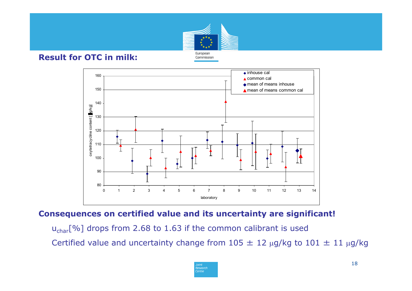

**Result for OTC in milk:** 



## **Consequences on certified value and its uncertainty are significant!**

 $u_{\text{char}}[\%]$  drops from 2.68 to 1.63 if the common calibrant is used Certified value and uncertainty change from  $105 \pm 12$  µg/kg to  $101 \pm 11$  µg/kg

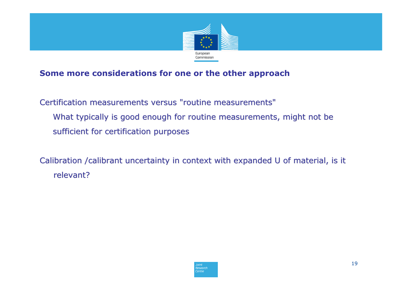

## **Some more considerations for one or the other approach**

Certification measurements versus "routine measurements" What typically is good enough for routine measurements, might not be sufficient for certification purposes

Calibration /calibrant uncertainty in context with expanded U of material, is it relevant?

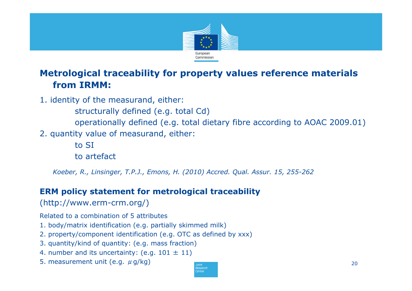

# **Metrological traceability for property values reference materials from IRMM:**

- 1. identity of the measurand, either:
	- structurally defined (e.g. total Cd)
	- operationally defined (e.g. total dietary fibre according to AOAC 2009.01)
- 2. quantity value of measurand, either:

to SIto artefact

*Koeber, R., Linsinger, T.P.J., Emons, H. (2010) Accred. Qual. Assur. 15, 255-262*

# **ERM policy statement for metrological traceability**

(http://www.erm-crm.org/)

Related to a combination of 5 attributes

- 1. body/matrix identification (e.g. partially skimmed milk)
- 2. property/component identification (e.g. OTC as defined by xxx)
- 3. quantity/kind of quantity: (e.g. mass fraction)
- 4. number and its uncertainty: (e.g.  $101 \pm 11$ )
- 5. measurement unit (e.g.  $\mu$  g/kg)

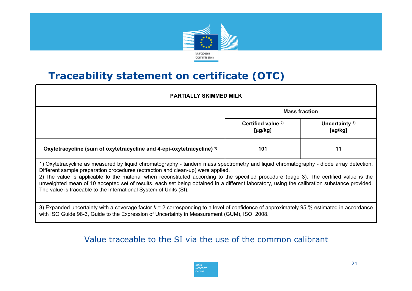

# **Traceability statement on certificate (OTC)**

| <b>PARTIALLY SKIMMED MILK</b>                                                                                                                                                                                                                                                                                                                                                                                                                                                                                                                                                           |                                               |                                |
|-----------------------------------------------------------------------------------------------------------------------------------------------------------------------------------------------------------------------------------------------------------------------------------------------------------------------------------------------------------------------------------------------------------------------------------------------------------------------------------------------------------------------------------------------------------------------------------------|-----------------------------------------------|--------------------------------|
|                                                                                                                                                                                                                                                                                                                                                                                                                                                                                                                                                                                         | <b>Mass fraction</b>                          |                                |
|                                                                                                                                                                                                                                                                                                                                                                                                                                                                                                                                                                                         | Certified value <sup>2)</sup><br>$[\mu g/kg]$ | Uncertainty 3)<br>$[\mu g/kg]$ |
| Oxytetracycline (sum of oxytetracycline and 4-epi-oxytetracycline) <sup>1)</sup>                                                                                                                                                                                                                                                                                                                                                                                                                                                                                                        | 101                                           | 11                             |
| 1) Oxytetracycline as measured by liquid chromatography - tandem mass spectrometry and liquid chromatography - diode array detection.<br>Different sample preparation procedures (extraction and clean-up) were applied.<br>2) The value is applicable to the material when reconstituted according to the specified procedure (page 3). The certified value is the<br>unweighted mean of 10 accepted set of results, each set being obtained in a different laboratory, using the calibration substance provided.<br>The value is traceable to the International System of Units (SI). |                                               |                                |
| 3) Expanded uncertainty with a coverage factor $k = 2$ corresponding to a level of confidence of approximately 95 % estimated in accordance<br>with ISO Guide 98-3, Guide to the Expression of Uncertainty in Measurement (GUM), ISO, 2008.                                                                                                                                                                                                                                                                                                                                             |                                               |                                |

#### Value traceable to the SI via the use of the common calibrant

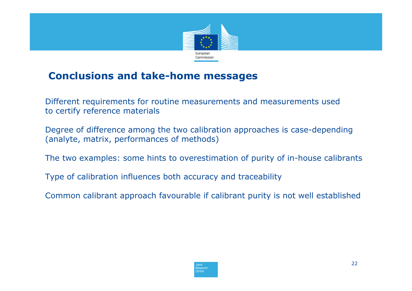

# **Conclusions and take-home messages**

Different requirements for routine measurements and measurements used to certify reference materials

Degree of difference among the two calibration approaches is case-depending (analyte, matrix, performances of methods)

The two examples: some hints to overestimation of purity of in-house calibrants

Type of calibration influences both accuracy and traceability

Common calibrant approach favourable if calibrant purity is not well established